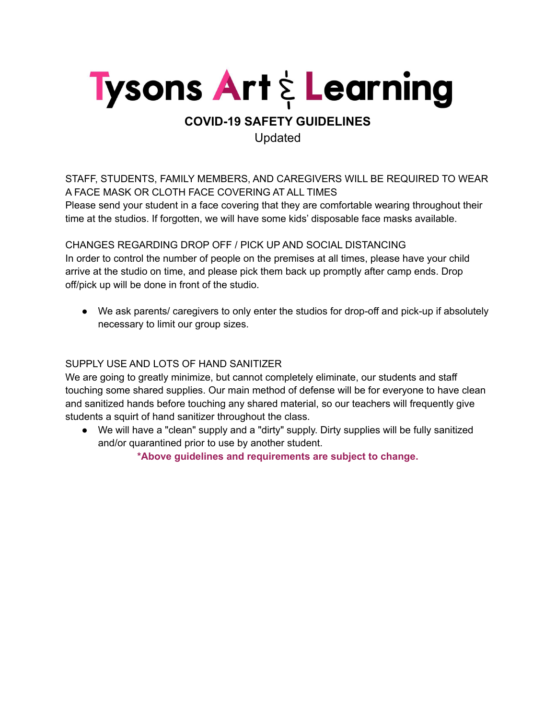

## **COVID-19 SAFETY GUIDELINES** Updated

STAFF, STUDENTS, FAMILY MEMBERS, AND CAREGIVERS WILL BE REQUIRED TO WEAR A FACE MASK OR CLOTH FACE COVERING AT ALL TIMES

Please send your student in a face covering that they are comfortable wearing throughout their time at the studios. If forgotten, we will have some kids' disposable face masks available.

CHANGES REGARDING DROP OFF / PICK UP AND SOCIAL DISTANCING In order to control the number of people on the premises at all times, please have your child arrive at the studio on time, and please pick them back up promptly after camp ends. Drop off/pick up will be done in front of the studio.

● We ask parents/ caregivers to only enter the studios for drop-off and pick-up if absolutely necessary to limit our group sizes.

## SUPPLY USE AND LOTS OF HAND SANITIZER

We are going to greatly minimize, but cannot completely eliminate, our students and staff touching some shared supplies. Our main method of defense will be for everyone to have clean and sanitized hands before touching any shared material, so our teachers will frequently give students a squirt of hand sanitizer throughout the class.

● We will have a "clean" supply and a "dirty" supply. Dirty supplies will be fully sanitized and/or quarantined prior to use by another student.

**\*Above guidelines and requirements are subject to change.**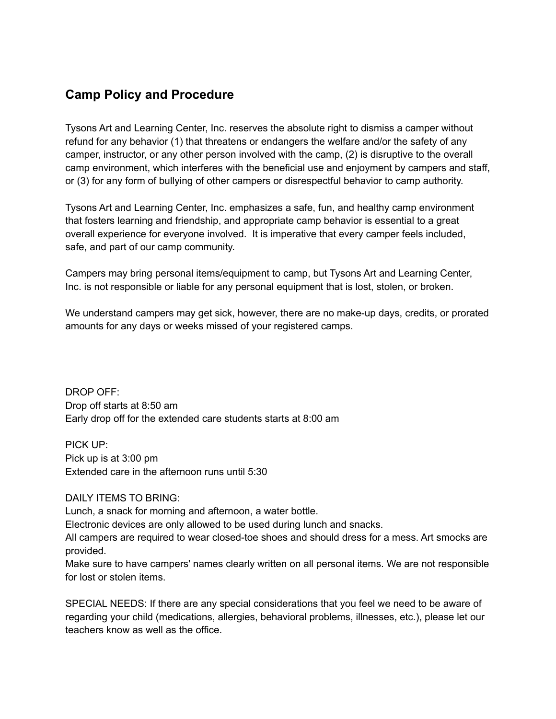## **Camp Policy and Procedure**

Tysons Art and Learning Center, Inc. reserves the absolute right to dismiss a camper without refund for any behavior (1) that threatens or endangers the welfare and/or the safety of any camper, instructor, or any other person involved with the camp, (2) is disruptive to the overall camp environment, which interferes with the beneficial use and enjoyment by campers and staff, or (3) for any form of bullying of other campers or disrespectful behavior to camp authority.

Tysons Art and Learning Center, Inc. emphasizes a safe, fun, and healthy camp environment that fosters learning and friendship, and appropriate camp behavior is essential to a great overall experience for everyone involved. It is imperative that every camper feels included, safe, and part of our camp community.

Campers may bring personal items/equipment to camp, but Tysons Art and Learning Center, Inc. is not responsible or liable for any personal equipment that is lost, stolen, or broken.

We understand campers may get sick, however, there are no make-up days, credits, or prorated amounts for any days or weeks missed of your registered camps.

DROP OFF: Drop off starts at 8:50 am Early drop off for the extended care students starts at 8:00 am

PICK UP: Pick up is at 3:00 pm Extended care in the afternoon runs until 5:30

DAILY ITEMS TO BRING:

Lunch, a snack for morning and afternoon, a water bottle.

Electronic devices are only allowed to be used during lunch and snacks.

All campers are required to wear closed-toe shoes and should dress for a mess. Art smocks are provided.

Make sure to have campers' names clearly written on all personal items. We are not responsible for lost or stolen items.

SPECIAL NEEDS: If there are any special considerations that you feel we need to be aware of regarding your child (medications, allergies, behavioral problems, illnesses, etc.), please let our teachers know as well as the office.